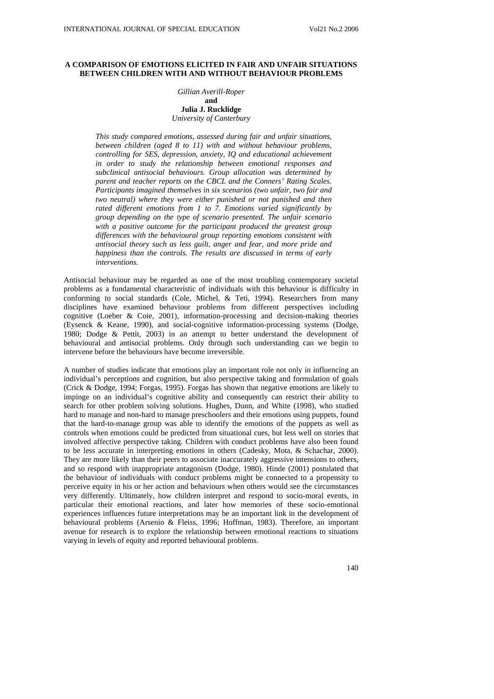# **A COMPARISON OF EMOTIONS ELICITED IN FAIR AND UNFAIR SITUATIONS BETWEEN CHILDREN WITH AND WITHOUT BEHAVIOUR PROBLEMS**

## *Gillian Averill-Roper*  **and Julia J. Rucklidge**  *University of Canterbury*

*This study compared emotions, assessed during fair and unfair situations, between children (aged 8 to 11) with and without behaviour problems, controlling for SES, depression, anxiety, IQ and educational achievement in order to study the relationship between emotional responses and subclinical antisocial behaviours. Group allocation was determined by parent and teacher reports on the CBCL and the Conners' Rating Scales. Participants imagined themselves in six scenarios (two unfair, two fair and two neutral) where they were either punished or not punished and then rated different emotions from 1 to 7. Emotions varied significantly by group depending on the type of scenario presented. The unfair scenario with a positive outcome for the participant produced the greatest group differences with the behavioural group reporting emotions consistent with antisocial theory such as less guilt, anger and fear, and more pride and happiness than the controls. The results are discussed in terms of early interventions.* 

Antisocial behaviour may be regarded as one of the most troubling contemporary societal problems as a fundamental characteristic of individuals with this behaviour is difficulty in conforming to social standards (Cole, Michel, & Teti, 1994). Researchers from many disciplines have examined behaviour problems from different perspectives including cognitive (Loeber & Coie, 2001), information-processing and decision-making theories (Eysenck & Keane, 1990), and social-cognitive information-processing systems (Dodge, 1980; Dodge & Pettit, 2003) in an attempt to better understand the development of behavioural and antisocial problems. Only through such understanding can we begin to intervene before the behaviours have become irreversible.

A number of studies indicate that emotions play an important role not only in influencing an individual's perceptions and cognition, but also perspective taking and formulation of goals (Crick & Dodge, 1994; Forgas, 1995). Forgas has shown that negative emotions are likely to impinge on an individual's cognitive ability and consequently can restrict their ability to search for other problem solving solutions. Hughes, Dunn, and White (1998), who studied hard to manage and non-hard to manage preschoolers and their emotions using puppets, found that the hard-to-manage group was able to identify the emotions of the puppets as well as controls when emotions could be predicted from situational cues, but less well on stories that involved affective perspective taking. Children with conduct problems have also been found to be less accurate in interpreting emotions in others (Cadesky, Mota, & Schachar, 2000). They are more likely than their peers to associate inaccurately aggressive intensions to others, and so respond with inappropriate antagonism (Dodge, 1980). Hinde (2001) postulated that the behaviour of individuals with conduct problems might be connected to a propensity to perceive equity in his or her action and behaviours when others would see the circumstances very differently. Ultimately, how children interpret and respond to socio-moral events, in particular their emotional reactions, and later how memories of these socio-emotional experiences influences future interpretations may be an important link in the development of behavioural problems (Arsenio & Fleiss, 1996; Hoffman, 1983). Therefore, an important avenue for research is to explore the relationship between emotional reactions to situations varying in levels of equity and reported behavioural problems.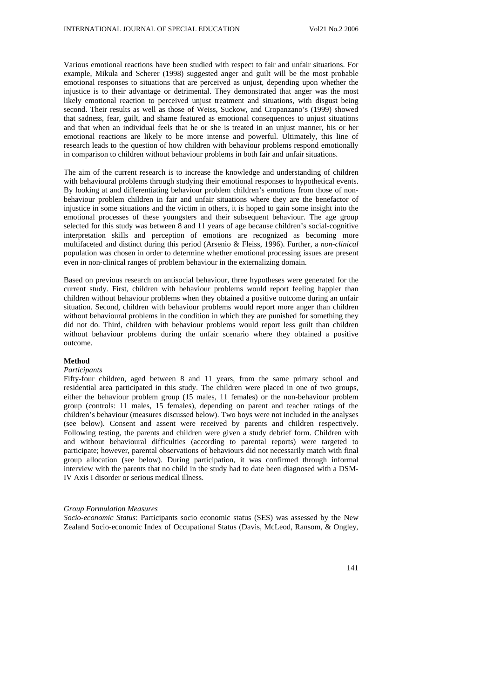Various emotional reactions have been studied with respect to fair and unfair situations. For example, Mikula and Scherer (1998) suggested anger and guilt will be the most probable emotional responses to situations that are perceived as unjust, depending upon whether the injustice is to their advantage or detrimental. They demonstrated that anger was the most likely emotional reaction to perceived unjust treatment and situations, with disgust being second. Their results as well as those of Weiss, Suckow, and Cropanzano's (1999) showed that sadness, fear, guilt, and shame featured as emotional consequences to unjust situations and that when an individual feels that he or she is treated in an unjust manner, his or her emotional reactions are likely to be more intense and powerful. Ultimately, this line of research leads to the question of how children with behaviour problems respond emotionally in comparison to children without behaviour problems in both fair and unfair situations.

The aim of the current research is to increase the knowledge and understanding of children with behavioural problems through studying their emotional responses to hypothetical events. By looking at and differentiating behaviour problem children's emotions from those of nonbehaviour problem children in fair and unfair situations where they are the benefactor of injustice in some situations and the victim in others, it is hoped to gain some insight into the emotional processes of these youngsters and their subsequent behaviour. The age group selected for this study was between 8 and 11 years of age because children's social-cognitive interpretation skills and perception of emotions are recognized as becoming more multifaceted and distinct during this period (Arsenio & Fleiss, 1996). Further, a *non-clinical* population was chosen in order to determine whether emotional processing issues are present even in non-clinical ranges of problem behaviour in the externalizing domain.

Based on previous research on antisocial behaviour, three hypotheses were generated for the current study. First, children with behaviour problems would report feeling happier than children without behaviour problems when they obtained a positive outcome during an unfair situation. Second, children with behaviour problems would report more anger than children without behavioural problems in the condition in which they are punished for something they did not do. Third, children with behaviour problems would report less guilt than children without behaviour problems during the unfair scenario where they obtained a positive outcome.

## **Method**

#### *Participants*

Fifty-four children, aged between 8 and 11 years, from the same primary school and residential area participated in this study. The children were placed in one of two groups, either the behaviour problem group (15 males, 11 females) or the non-behaviour problem group (controls: 11 males, 15 females), depending on parent and teacher ratings of the children's behaviour (measures discussed below). Two boys were not included in the analyses (see below). Consent and assent were received by parents and children respectively. Following testing, the parents and children were given a study debrief form. Children with and without behavioural difficulties (according to parental reports) were targeted to participate; however, parental observations of behaviours did not necessarily match with final group allocation (see below). During participation, it was confirmed through informal interview with the parents that no child in the study had to date been diagnosed with a DSM-IV Axis I disorder or serious medical illness.

#### *Group Formulation Measures*

*Socio-economic Status*: Participants socio economic status (SES) was assessed by the New Zealand Socio-economic Index of Occupational Status (Davis, McLeod, Ransom, & Ongley,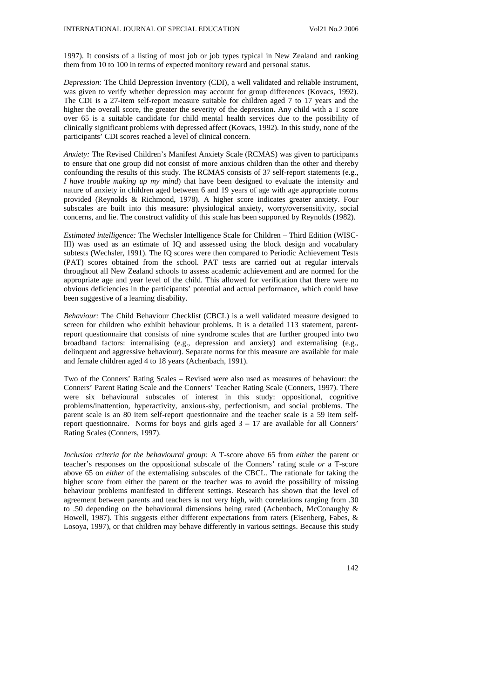1997). It consists of a listing of most job or job types typical in New Zealand and ranking them from 10 to 100 in terms of expected monitory reward and personal status.

*Depression:* The Child Depression Inventory (CDI), a well validated and reliable instrument, was given to verify whether depression may account for group differences (Kovacs, 1992). The CDI is a 27-item self-report measure suitable for children aged 7 to 17 years and the higher the overall score, the greater the severity of the depression. Any child with a T score over 65 is a suitable candidate for child mental health services due to the possibility of clinically significant problems with depressed affect (Kovacs, 1992). In this study, none of the participants' CDI scores reached a level of clinical concern.

*Anxiety:* The Revised Children's Manifest Anxiety Scale (RCMAS) was given to participants to ensure that one group did not consist of more anxious children than the other and thereby confounding the results of this study. The RCMAS consists of 37 self-report statements (e.g., *I have trouble making up my mind*) that have been designed to evaluate the intensity and nature of anxiety in children aged between 6 and 19 years of age with age appropriate norms provided (Reynolds & Richmond, 1978). A higher score indicates greater anxiety. Four subscales are built into this measure: physiological anxiety, worry/oversensitivity, social concerns, and lie. The construct validity of this scale has been supported by Reynolds (1982).

*Estimated intelligence:* The Wechsler Intelligence Scale for Children – Third Edition (WISC-III) was used as an estimate of IQ and assessed using the block design and vocabulary subtests (Wechsler, 1991). The IQ scores were then compared to Periodic Achievement Tests (PAT) scores obtained from the school. PAT tests are carried out at regular intervals throughout all New Zealand schools to assess academic achievement and are normed for the appropriate age and year level of the child. This allowed for verification that there were no obvious deficiencies in the participants' potential and actual performance, which could have been suggestive of a learning disability.

*Behaviour:* The Child Behaviour Checklist (CBCL) is a well validated measure designed to screen for children who exhibit behaviour problems. It is a detailed 113 statement, parentreport questionnaire that consists of nine syndrome scales that are further grouped into two broadband factors: internalising (e.g., depression and anxiety) and externalising (e.g., delinquent and aggressive behaviour). Separate norms for this measure are available for male and female children aged 4 to 18 years (Achenbach, 1991).

Two of the Conners' Rating Scales – Revised were also used as measures of behaviour: the Conners' Parent Rating Scale and the Conners' Teacher Rating Scale (Conners, 1997). There were six behavioural subscales of interest in this study: oppositional, cognitive problems/inattention, hyperactivity, anxious-shy, perfectionism, and social problems. The parent scale is an 80 item self-report questionnaire and the teacher scale is a 59 item selfreport questionnaire. Norms for boys and girls aged  $3 - 17$  are available for all Conners' Rating Scales (Conners, 1997).

*Inclusion criteria for the behavioural group:* A T-score above 65 from *either* the parent or teacher's responses on the oppositional subscale of the Conners' rating scale *or* a T-score above 65 on *either* of the externalising subscales of the CBCL. The rationale for taking the higher score from either the parent or the teacher was to avoid the possibility of missing behaviour problems manifested in different settings. Research has shown that the level of agreement between parents and teachers is not very high, with correlations ranging from .30 to .50 depending on the behavioural dimensions being rated (Achenbach, McConaughy & Howell, 1987). This suggests either different expectations from raters (Eisenberg, Fabes, & Losoya, 1997), or that children may behave differently in various settings. Because this study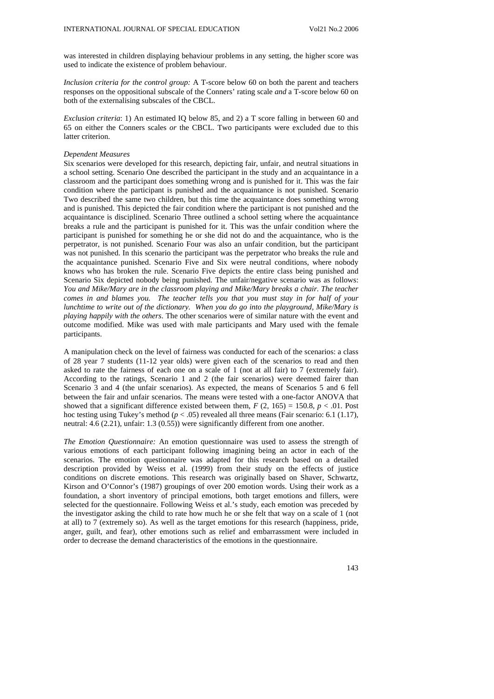was interested in children displaying behaviour problems in any setting, the higher score was used to indicate the existence of problem behaviour.

*Inclusion criteria for the control group:* A T-score below 60 on both the parent and teachers responses on the oppositional subscale of the Conners' rating scale *and* a T-score below 60 on both of the externalising subscales of the CBCL.

*Exclusion criteria*: 1) An estimated IQ below 85, and 2) a T score falling in between 60 and 65 on either the Conners scales *or* the CBCL. Two participants were excluded due to this latter criterion.

#### *Dependent Measures*

Six scenarios were developed for this research, depicting fair, unfair, and neutral situations in a school setting. Scenario One described the participant in the study and an acquaintance in a classroom and the participant does something wrong and is punished for it. This was the fair condition where the participant is punished and the acquaintance is not punished. Scenario Two described the same two children, but this time the acquaintance does something wrong and is punished. This depicted the fair condition where the participant is not punished and the acquaintance is disciplined. Scenario Three outlined a school setting where the acquaintance breaks a rule and the participant is punished for it. This was the unfair condition where the participant is punished for something he or she did not do and the acquaintance, who is the perpetrator, is not punished. Scenario Four was also an unfair condition, but the participant was not punished. In this scenario the participant was the perpetrator who breaks the rule and the acquaintance punished. Scenario Five and Six were neutral conditions, where nobody knows who has broken the rule. Scenario Five depicts the entire class being punished and Scenario Six depicted nobody being punished. The unfair/negative scenario was as follows: *You and Mike/Mary are in the classroom playing and Mike/Mary breaks a chair. The teacher comes in and blames you. The teacher tells you that you must stay in for half of your lunchtime to write out of the dictionary. When you do go into the playground, Mike/Mary is playing happily with the others*. The other scenarios were of similar nature with the event and outcome modified. Mike was used with male participants and Mary used with the female participants.

A manipulation check on the level of fairness was conducted for each of the scenarios: a class of 28 year 7 students (11-12 year olds) were given each of the scenarios to read and then asked to rate the fairness of each one on a scale of 1 (not at all fair) to 7 (extremely fair). According to the ratings, Scenario 1 and 2 (the fair scenarios) were deemed fairer than Scenario 3 and 4 (the unfair scenarios). As expected, the means of Scenarios 5 and 6 fell between the fair and unfair scenarios. The means were tested with a one-factor ANOVA that showed that a significant difference existed between them,  $F(2, 165) = 150.8$ ,  $p < .01$ . Post hoc testing using Tukey's method ( $p < .05$ ) revealed all three means (Fair scenario: 6.1 (1.17), neutral: 4.6 (2.21), unfair: 1.3 (0.55)) were significantly different from one another.

*The Emotion Questionnaire:* An emotion questionnaire was used to assess the strength of various emotions of each participant following imagining being an actor in each of the scenarios. The emotion questionnaire was adapted for this research based on a detailed description provided by Weiss et al. (1999) from their study on the effects of justice conditions on discrete emotions. This research was originally based on Shaver, Schwartz, Kirson and O'Connor's (1987) groupings of over 200 emotion words. Using their work as a foundation, a short inventory of principal emotions, both target emotions and fillers, were selected for the questionnaire. Following Weiss et al.'s study, each emotion was preceded by the investigator asking the child to rate how much he or she felt that way on a scale of 1 (not at all) to 7 (extremely so). As well as the target emotions for this research (happiness, pride, anger, guilt, and fear), other emotions such as relief and embarrassment were included in order to decrease the demand characteristics of the emotions in the questionnaire.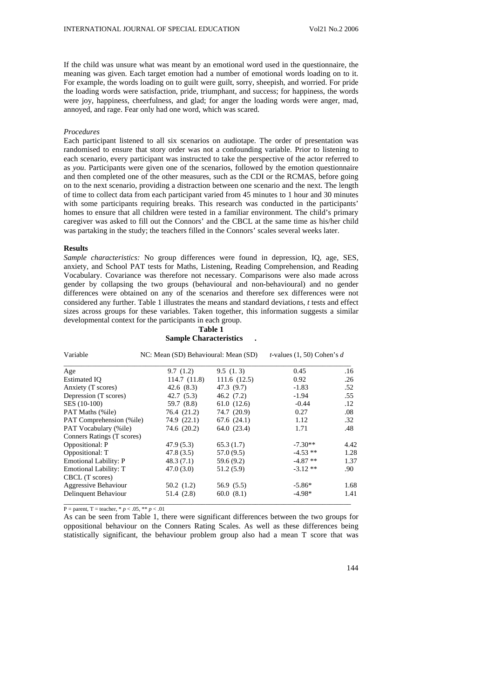If the child was unsure what was meant by an emotional word used in the questionnaire, the meaning was given. Each target emotion had a number of emotional words loading on to it. For example, the words loading on to guilt were guilt, sorry, sheepish, and worried. For pride the loading words were satisfaction, pride, triumphant, and success; for happiness, the words were joy, happiness, cheerfulness, and glad; for anger the loading words were anger, mad, annoyed, and rage. Fear only had one word, which was scared.

### *Procedures*

Each participant listened to all six scenarios on audiotape. The order of presentation was randomised to ensure that story order was not a confounding variable. Prior to listening to each scenario, every participant was instructed to take the perspective of the actor referred to as *you*. Participants were given one of the scenarios, followed by the emotion questionnaire and then completed one of the other measures, such as the CDI or the RCMAS, before going on to the next scenario, providing a distraction between one scenario and the next. The length of time to collect data from each participant varied from 45 minutes to 1 hour and 30 minutes with some participants requiring breaks. This research was conducted in the participants' homes to ensure that all children were tested in a familiar environment. The child's primary caregiver was asked to fill out the Connors' and the CBCL at the same time as his/her child was partaking in the study; the teachers filled in the Connors' scales several weeks later.

#### **Results**

*Sample characteristics:* No group differences were found in depression, IQ, age, SES, anxiety, and School PAT tests for Maths, Listening, Reading Comprehension, and Reading Vocabulary. Covariance was therefore not necessary. Comparisons were also made across gender by collapsing the two groups (behavioural and non-behavioural) and no gender differences were obtained on any of the scenarios and therefore sex differences were not considered any further. Table 1 illustrates the means and standard deviations, *t* tests and effect sizes across groups for these variables. Taken together, this information suggests a similar developmental context for the participants in each group.

Variable NC: Mean (SD) Behavioural: Mean (SD) *t-*values (1, 50) Cohen's *d* \_\_\_\_\_\_\_\_\_\_\_\_\_\_\_\_\_\_\_\_\_\_\_\_\_\_\_\_\_\_\_\_\_\_\_\_\_\_\_\_\_\_\_\_\_\_\_\_\_\_\_\_\_\_\_\_\_\_\_\_\_\_\_\_\_\_\_\_\_\_\_\_\_\_\_\_\_\_\_\_\_ Age 9.7 (1.2) 9.5 (1.3) 0.45 .16 Estimated IQ 114.7 (11.8) 111.6 (12.5) 0.92 .26<br>Anxiety (T scores) 42.6 (8.3) 47.3 (9.7) -1.83 .52 Anxiety (T scores) Depression (T scores) 42.7 (5.3) 46.2 (7.2) -1.94 .55 SES (10-100) 59.7 (8.8) 61.0 (12.6) -0.44 .12 PAT Maths (%ile) 76.4 (21.2) 74.7 (20.9) 0.27 .08 PAT Comprehension (%ile) 74.9 (22.1) 67.6 (24.1) 1.12 .32 PAT Vocabulary (%ile) 74.6 (20.2) 64.0 (23.4) 1.71 .48 Conners Ratings (T scores) Oppositional: P 47.9 (5.3) 65.3 (1.7)  $-7.30**$  4.42<br>
Oppositional: T 47.8 (3.5) 57.0 (9.5)  $-4.53**$  1.28 Oppositional: T 17.8 (3.5) 57.0 (9.5) -4.53 \*\*<br>Emotional Lability: P 48.3 (7.1) 59.6 (9.2) -4.87 \*\* Emotional Lability: P 48.3 (7.1) 59.6 (9.2) -4.87 \*\* 1.37<br>
Emotional Lability: T 47.0 (3.0) 51.2 (5.9) -3.12 \*\* 90 Emotional Lability: T 47.0 (3.0) 51.2 (5.9) -3.12 \*\* .90 CBCL (T scores) Aggressive Behaviour 50.2 (1.2) 56.9 (5.5)  $-5.86^*$  1.68 Delinquent Behaviour 51.4 (2.8) 60.0 (8.1) -4.98\* 1.41 \_\_\_\_\_\_\_\_\_\_\_\_\_\_\_\_\_\_\_\_\_\_\_\_\_\_\_\_\_\_\_\_\_\_\_\_\_\_\_\_\_\_\_\_\_\_\_\_\_\_\_\_\_\_\_\_\_\_\_\_\_\_\_\_\_\_\_\_\_\_\_\_\_\_\_\_\_\_\_\_\_

**Table 1 Sample Characteristics .** 

 $P =$  parent, T = teacher, \* *p* < .05, \*\* *p* < .01

As can be seen from Table 1, there were significant differences between the two groups for oppositional behaviour on the Conners Rating Scales. As well as these differences being statistically significant, the behaviour problem group also had a mean T score that was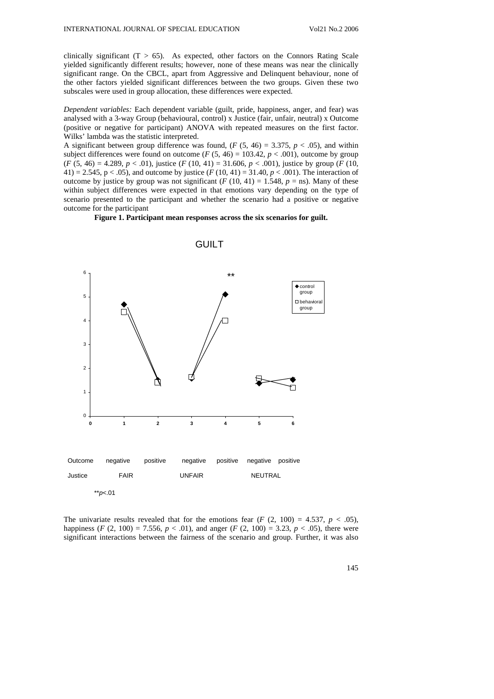clinically significant  $(T > 65)$ . As expected, other factors on the Connors Rating Scale yielded significantly different results; however, none of these means was near the clinically significant range. On the CBCL, apart from Aggressive and Delinquent behaviour, none of the other factors yielded significant differences between the two groups. Given these two subscales were used in group allocation, these differences were expected.

*Dependent variables:* Each dependent variable (guilt, pride, happiness, anger, and fear) was analysed with a 3-way Group (behavioural, control) x Justice (fair, unfair, neutral) x Outcome (positive or negative for participant) ANOVA with repeated measures on the first factor. Wilks' lambda was the statistic interpreted.

A significant between group difference was found,  $(F (5, 46) = 3.375, p < .05)$ , and within subject differences were found on outcome ( $F(5, 46) = 103.42$ ,  $p < .001$ ), outcome by group (*F* (5, 46) = 4.289, *p* < .01), justice (*F* (10, 41) = 31.606, *p* < .001), justice by group (*F* (10, 41) = 2.545, p < .05), and outcome by justice (*F* (10, 41) = 31.40, *p* < .001). The interaction of outcome by justice by group was not significant  $(F (10, 41) = 1.548, p = \text{ns})$ . Many of these within subject differences were expected in that emotions vary depending on the type of scenario presented to the participant and whether the scenario had a positive or negative outcome for the participant

**Figure 1. Participant mean responses across the six scenarios for guilt.** 



**GUILT** 

The univariate results revealed that for the emotions fear  $(F (2, 100) = 4.537, p < .05)$ , happiness (*F* (2, 100) = 7.556,  $p < .01$ ), and anger (*F* (2, 100) = 3.23,  $p < .05$ ), there were significant interactions between the fairness of the scenario and group. Further, it was also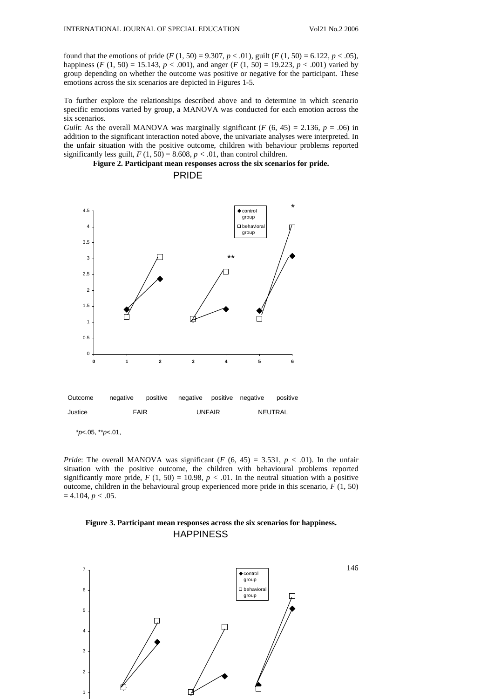found that the emotions of pride  $(F(1, 50) = 9.307, p < .01)$ , guilt  $(F(1, 50) = 6.122, p < .05)$ , happiness (*F* (1, 50) = 15.143, *p* < .001), and anger (*F* (1, 50) = 19.223, *p* < .001) varied by group depending on whether the outcome was positive or negative for the participant. These emotions across the six scenarios are depicted in Figures 1-5.

To further explore the relationships described above and to determine in which scenario specific emotions varied by group, a MANOVA was conducted for each emotion across the six scenarios.

*Guilt*: As the overall MANOVA was marginally significant ( $F (6, 45) = 2.136$ ,  $p = .06$ ) in addition to the significant interaction noted above, the univariate analyses were interpreted. In the unfair situation with the positive outcome, children with behaviour problems reported significantly less guilt,  $F(1, 50) = 8.608$ ,  $p < .01$ , than control children.

**Figure 2. Participant mean responses across the six scenarios for pride.** 



PRIDE

*Pride*: The overall MANOVA was significant (*F* (6, 45) = 3.531,  $p < .01$ ). In the unfair situation with the positive outcome, the children with behavioural problems reported significantly more pride,  $F(1, 50) = 10.98$ ,  $p < .01$ . In the neutral situation with a positive outcome, children in the behavioural group experienced more pride in this scenario, *F* (1, 50)  $= 4.104, p < .05.$ 

# **Figure 3. Participant mean responses across the six scenarios for happiness. HAPPINESS**

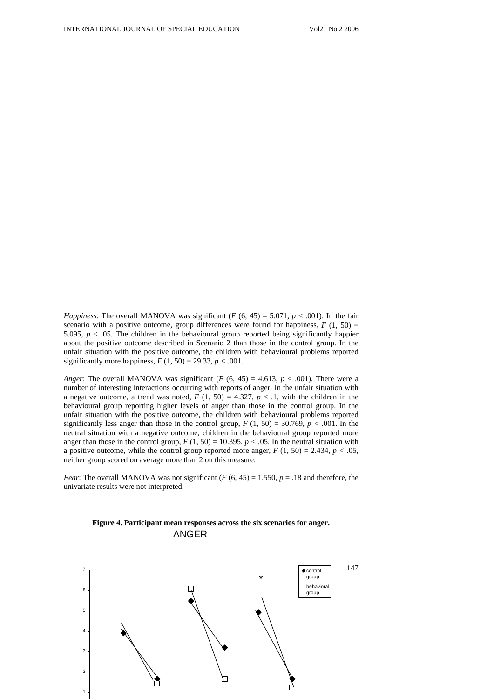*Happiness*: The overall MANOVA was significant (*F* (6, 45) = 5.071, *p* < .001). In the fair scenario with a positive outcome, group differences were found for happiness,  $F(1, 50) =$ 5.095,  $p < .05$ . The children in the behavioural group reported being significantly happier about the positive outcome described in Scenario 2 than those in the control group. In the unfair situation with the positive outcome, the children with behavioural problems reported significantly more happiness,  $F(1, 50) = 29.33$ ,  $p < .001$ .

*Anger*: The overall MANOVA was significant (*F* (6, 45) = 4.613,  $p < .001$ ). There were a number of interesting interactions occurring with reports of anger. In the unfair situation with a negative outcome, a trend was noted,  $F(1, 50) = 4.327$ ,  $p < 0.1$ , with the children in the behavioural group reporting higher levels of anger than those in the control group. In the unfair situation with the positive outcome, the children with behavioural problems reported significantly less anger than those in the control group,  $F(1, 50) = 30.769$ ,  $p < .001$ . In the neutral situation with a negative outcome, children in the behavioural group reported more anger than those in the control group,  $F(1, 50) = 10.395$ ,  $p < .05$ . In the neutral situation with a positive outcome, while the control group reported more anger,  $F(1, 50) = 2.434$ ,  $p < .05$ , neither group scored on average more than 2 on this measure.

*Fear*: The overall MANOVA was not significant  $(F (6, 45) = 1.550, p = .18$  and therefore, the univariate results were not interpreted.

# **Figure 4. Participant mean responses across the six scenarios for anger.**  ANGER

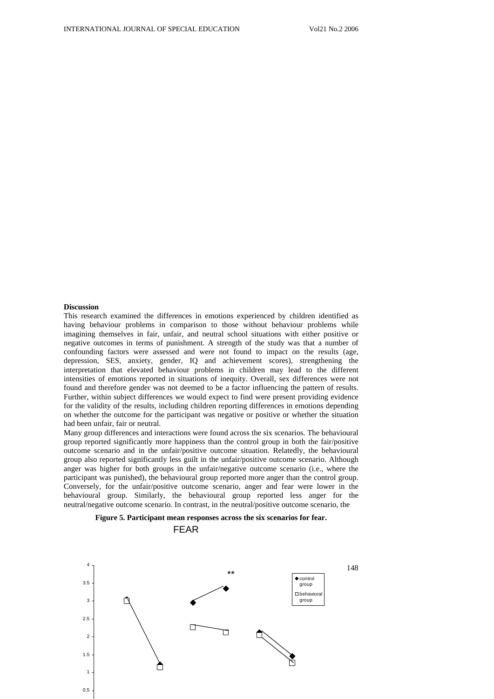## **Discussion**

This research examined the differences in emotions experienced by children identified as having behaviour problems in comparison to those without behaviour problems while imagining themselves in fair, unfair, and neutral school situations with either positive or negative outcomes in terms of punishment. A strength of the study was that a number of confounding factors were assessed and were not found to impact on the results (age, depression, SES, anxiety, gender, IQ and achievement scores), strengthening the interpretation that elevated behaviour problems in children may lead to the different intensities of emotions reported in situations of inequity. Overall, sex differences were not found and therefore gender was not deemed to be a factor influencing the pattern of results. Further, within subject differences we would expect to find were present providing evidence for the validity of the results, including children reporting differences in emotions depending on whether the outcome for the participant was negative or positive or whether the situation had been unfair, fair or neutral.

Many group differences and interactions were found across the six scenarios. The behavioural group reported significantly more happiness than the control group in both the fair/positive outcome scenario and in the unfair/positive outcome situation. Relatedly, the behavioural group also reported significantly less guilt in the unfair/positive outcome scenario. Although anger was higher for both groups in the unfair/negative outcome scenario (i.e., where the participant was punished), the behavioural group reported more anger than the control group. Conversely, for the unfair/positive outcome scenario, anger and fear were lower in the behavioural group. Similarly, the behavioural group reported less anger for the neutral/negative outcome scenario. In contrast, in the neutral/positive outcome scenario, the



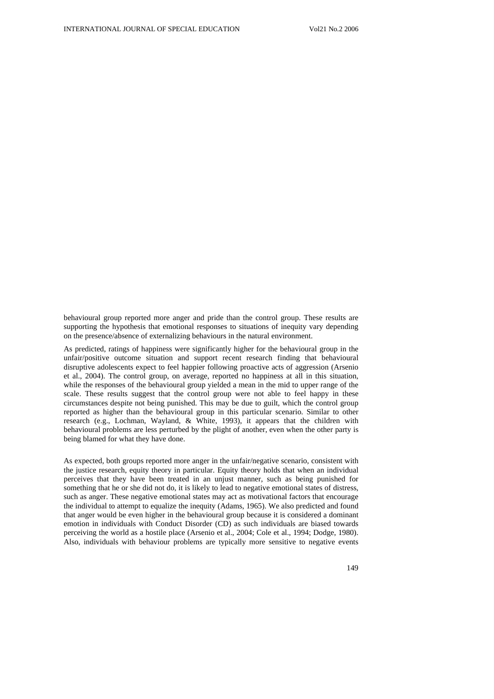behavioural group reported more anger and pride than the control group. These results are supporting the hypothesis that emotional responses to situations of inequity vary depending on the presence/absence of externalizing behaviours in the natural environment.

As predicted, ratings of happiness were significantly higher for the behavioural group in the unfair/positive outcome situation and support recent research finding that behavioural disruptive adolescents expect to feel happier following proactive acts of aggression (Arsenio et al., 2004). The control group, on average, reported no happiness at all in this situation, while the responses of the behavioural group yielded a mean in the mid to upper range of the scale. These results suggest that the control group were not able to feel happy in these circumstances despite not being punished. This may be due to guilt, which the control group reported as higher than the behavioural group in this particular scenario. Similar to other research (e.g., Lochman, Wayland, & White, 1993), it appears that the children with behavioural problems are less perturbed by the plight of another, even when the other party is being blamed for what they have done.

As expected, both groups reported more anger in the unfair/negative scenario, consistent with the justice research, equity theory in particular. Equity theory holds that when an individual perceives that they have been treated in an unjust manner, such as being punished for something that he or she did not do, it is likely to lead to negative emotional states of distress, such as anger. These negative emotional states may act as motivational factors that encourage the individual to attempt to equalize the inequity (Adams, 1965). We also predicted and found that anger would be even higher in the behavioural group because it is considered a dominant emotion in individuals with Conduct Disorder (CD) as such individuals are biased towards perceiving the world as a hostile place (Arsenio et al., 2004; Cole et al., 1994; Dodge, 1980). Also, individuals with behaviour problems are typically more sensitive to negative events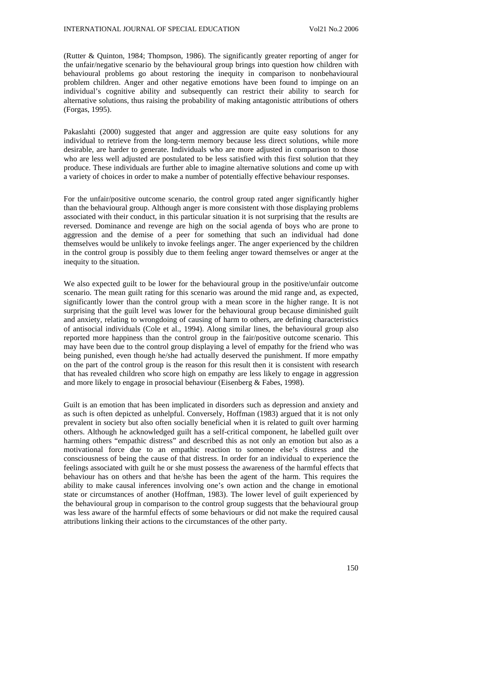(Rutter & Quinton, 1984; Thompson, 1986). The significantly greater reporting of anger for the unfair/negative scenario by the behavioural group brings into question how children with behavioural problems go about restoring the inequity in comparison to nonbehavioural problem children. Anger and other negative emotions have been found to impinge on an individual's cognitive ability and subsequently can restrict their ability to search for alternative solutions, thus raising the probability of making antagonistic attributions of others (Forgas, 1995).

Pakaslahti (2000) suggested that anger and aggression are quite easy solutions for any individual to retrieve from the long-term memory because less direct solutions, while more desirable, are harder to generate. Individuals who are more adjusted in comparison to those who are less well adjusted are postulated to be less satisfied with this first solution that they produce. These individuals are further able to imagine alternative solutions and come up with a variety of choices in order to make a number of potentially effective behaviour responses.

For the unfair/positive outcome scenario, the control group rated anger significantly higher than the behavioural group. Although anger is more consistent with those displaying problems associated with their conduct, in this particular situation it is not surprising that the results are reversed. Dominance and revenge are high on the social agenda of boys who are prone to aggression and the demise of a peer for something that such an individual had done themselves would be unlikely to invoke feelings anger. The anger experienced by the children in the control group is possibly due to them feeling anger toward themselves or anger at the inequity to the situation.

We also expected guilt to be lower for the behavioural group in the positive/unfair outcome scenario. The mean guilt rating for this scenario was around the mid range and, as expected, significantly lower than the control group with a mean score in the higher range. It is not surprising that the guilt level was lower for the behavioural group because diminished guilt and anxiety, relating to wrongdoing of causing of harm to others, are defining characteristics of antisocial individuals (Cole et al., 1994). Along similar lines, the behavioural group also reported more happiness than the control group in the fair/positive outcome scenario. This may have been due to the control group displaying a level of empathy for the friend who was being punished, even though he/she had actually deserved the punishment. If more empathy on the part of the control group is the reason for this result then it is consistent with research that has revealed children who score high on empathy are less likely to engage in aggression and more likely to engage in prosocial behaviour (Eisenberg & Fabes, 1998).

Guilt is an emotion that has been implicated in disorders such as depression and anxiety and as such is often depicted as unhelpful. Conversely, Hoffman (1983) argued that it is not only prevalent in society but also often socially beneficial when it is related to guilt over harming others. Although he acknowledged guilt has a self-critical component, he labelled guilt over harming others "empathic distress" and described this as not only an emotion but also as a motivational force due to an empathic reaction to someone else's distress and the consciousness of being the cause of that distress. In order for an individual to experience the feelings associated with guilt he or she must possess the awareness of the harmful effects that behaviour has on others and that he/she has been the agent of the harm. This requires the ability to make causal inferences involving one's own action and the change in emotional state or circumstances of another (Hoffman, 1983). The lower level of guilt experienced by the behavioural group in comparison to the control group suggests that the behavioural group was less aware of the harmful effects of some behaviours or did not make the required causal attributions linking their actions to the circumstances of the other party.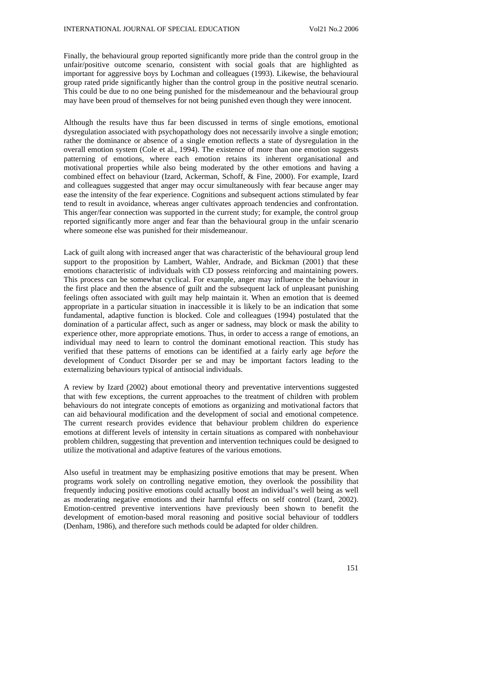Finally, the behavioural group reported significantly more pride than the control group in the unfair/positive outcome scenario, consistent with social goals that are highlighted as important for aggressive boys by Lochman and colleagues (1993). Likewise, the behavioural group rated pride significantly higher than the control group in the positive neutral scenario. This could be due to no one being punished for the misdemeanour and the behavioural group may have been proud of themselves for not being punished even though they were innocent.

Although the results have thus far been discussed in terms of single emotions, emotional dysregulation associated with psychopathology does not necessarily involve a single emotion; rather the dominance or absence of a single emotion reflects a state of dysregulation in the overall emotion system (Cole et al., 1994). The existence of more than one emotion suggests patterning of emotions, where each emotion retains its inherent organisational and motivational properties while also being moderated by the other emotions and having a combined effect on behaviour (Izard, Ackerman, Schoff, & Fine, 2000). For example, Izard and colleagues suggested that anger may occur simultaneously with fear because anger may ease the intensity of the fear experience. Cognitions and subsequent actions stimulated by fear tend to result in avoidance, whereas anger cultivates approach tendencies and confrontation. This anger/fear connection was supported in the current study; for example, the control group reported significantly more anger and fear than the behavioural group in the unfair scenario where someone else was punished for their misdemeanour.

Lack of guilt along with increased anger that was characteristic of the behavioural group lend support to the proposition by Lambert, Wahler, Andrade, and Bickman (2001) that these emotions characteristic of individuals with CD possess reinforcing and maintaining powers. This process can be somewhat cyclical. For example, anger may influence the behaviour in the first place and then the absence of guilt and the subsequent lack of unpleasant punishing feelings often associated with guilt may help maintain it. When an emotion that is deemed appropriate in a particular situation in inaccessible it is likely to be an indication that some fundamental, adaptive function is blocked. Cole and colleagues (1994) postulated that the domination of a particular affect, such as anger or sadness, may block or mask the ability to experience other, more appropriate emotions. Thus, in order to access a range of emotions, an individual may need to learn to control the dominant emotional reaction. This study has verified that these patterns of emotions can be identified at a fairly early age *before* the development of Conduct Disorder per se and may be important factors leading to the externalizing behaviours typical of antisocial individuals.

A review by Izard (2002) about emotional theory and preventative interventions suggested that with few exceptions, the current approaches to the treatment of children with problem behaviours do not integrate concepts of emotions as organizing and motivational factors that can aid behavioural modification and the development of social and emotional competence. The current research provides evidence that behaviour problem children do experience emotions at different levels of intensity in certain situations as compared with nonbehaviour problem children, suggesting that prevention and intervention techniques could be designed to utilize the motivational and adaptive features of the various emotions.

Also useful in treatment may be emphasizing positive emotions that may be present. When programs work solely on controlling negative emotion, they overlook the possibility that frequently inducing positive emotions could actually boost an individual's well being as well as moderating negative emotions and their harmful effects on self control (Izard, 2002). Emotion-centred preventive interventions have previously been shown to benefit the development of emotion-based moral reasoning and positive social behaviour of toddlers (Denham, 1986), and therefore such methods could be adapted for older children.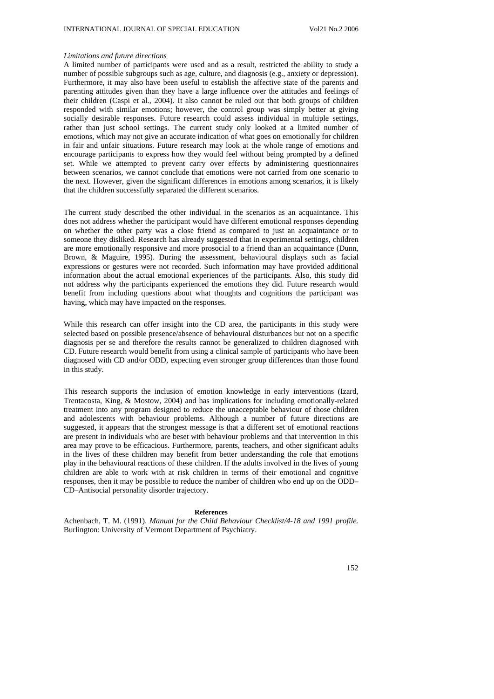### *Limitations and future directions*

A limited number of participants were used and as a result, restricted the ability to study a number of possible subgroups such as age, culture, and diagnosis (e.g., anxiety or depression). Furthermore, it may also have been useful to establish the affective state of the parents and parenting attitudes given than they have a large influence over the attitudes and feelings of their children (Caspi et al., 2004). It also cannot be ruled out that both groups of children responded with similar emotions; however, the control group was simply better at giving socially desirable responses. Future research could assess individual in multiple settings, rather than just school settings. The current study only looked at a limited number of emotions, which may not give an accurate indication of what goes on emotionally for children in fair and unfair situations. Future research may look at the whole range of emotions and encourage participants to express how they would feel without being prompted by a defined set. While we attempted to prevent carry over effects by administering questionnaires between scenarios, we cannot conclude that emotions were not carried from one scenario to the next. However, given the significant differences in emotions among scenarios, it is likely that the children successfully separated the different scenarios.

The current study described the other individual in the scenarios as an acquaintance. This does not address whether the participant would have different emotional responses depending on whether the other party was a close friend as compared to just an acquaintance or to someone they disliked. Research has already suggested that in experimental settings, children are more emotionally responsive and more prosocial to a friend than an acquaintance (Dunn, Brown, & Maguire, 1995). During the assessment, behavioural displays such as facial expressions or gestures were not recorded. Such information may have provided additional information about the actual emotional experiences of the participants. Also, this study did not address why the participants experienced the emotions they did. Future research would benefit from including questions about what thoughts and cognitions the participant was having, which may have impacted on the responses.

While this research can offer insight into the CD area, the participants in this study were selected based on possible presence/absence of behavioural disturbances but not on a specific diagnosis per se and therefore the results cannot be generalized to children diagnosed with CD. Future research would benefit from using a clinical sample of participants who have been diagnosed with CD and/or ODD, expecting even stronger group differences than those found in this study.

This research supports the inclusion of emotion knowledge in early interventions (Izard, Trentacosta, King, & Mostow, 2004) and has implications for including emotionally-related treatment into any program designed to reduce the unacceptable behaviour of those children and adolescents with behaviour problems. Although a number of future directions are suggested, it appears that the strongest message is that a different set of emotional reactions are present in individuals who are beset with behaviour problems and that intervention in this area may prove to be efficacious. Furthermore, parents, teachers, and other significant adults in the lives of these children may benefit from better understanding the role that emotions play in the behavioural reactions of these children. If the adults involved in the lives of young children are able to work with at risk children in terms of their emotional and cognitive responses, then it may be possible to reduce the number of children who end up on the ODD– CD–Antisocial personality disorder trajectory.

#### **References**

Achenbach, T. M. (1991). *Manual for the Child Behaviour Checklist/4-18 and 1991 profile.* Burlington: University of Vermont Department of Psychiatry.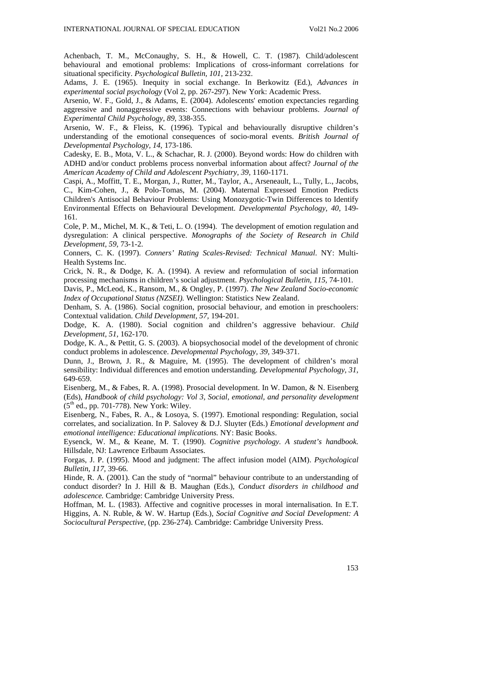Achenbach, T. M., McConaughy, S. H., & Howell, C. T. (1987). Child/adolescent behavioural and emotional problems: Implications of cross-informant correlations for situational specificity. *Psychological Bulletin, 101,* 213-232.

Adams, J. E. (1965). Inequity in social exchange. In Berkowitz (Ed.), *Advances in experimental social psychology* (Vol 2, pp. 267-297). New York: Academic Press.

Arsenio, W. F., Gold, J., & Adams, E. (2004). Adolescents' emotion expectancies regarding aggressive and nonaggressive events: Connections with behaviour problems. *Journal of Experimental Child Psychology, 89,* 338-355.

Arsenio, W. F., & Fleiss, K. (1996). Typical and behaviourally disruptive children's understanding of the emotional consequences of socio-moral events. *British Journal of Developmental Psychology, 14,* 173-186.

Cadesky, E. B., Mota, V. L., & Schachar, R. J. (2000). Beyond words: How do children with ADHD and/or conduct problems process nonverbal information about affect? *Journal of the American Academy of Child and Adolescent Psychiatry, 39,* 1160-1171.

Caspi, A., Moffitt, T. E., Morgan, J., Rutter, M., Taylor, A., Arseneault, L., Tully, L., Jacobs, C., Kim-Cohen, J., & Polo-Tomas, M. (2004). Maternal Expressed Emotion Predicts Children's Antisocial Behaviour Problems: Using Monozygotic-Twin Differences to Identify Environmental Effects on Behavioural Development. *Developmental Psychology, 40,* 149- 161.

Cole, P. M., Michel, M. K., & Teti, L. O. (1994). The development of emotion regulation and dysregulation: A clinical perspective. *Monographs of the Society of Research in Child Development, 59,* 73-1-2.

Conners, C. K. (1997). *Conners' Rating Scales-Revised: Technical Manual*. NY: Multi-Health Systems Inc.

Crick, N. R., & Dodge, K. A. (1994). A review and reformulation of social information processing mechanisms in children's social adjustment. *Psychological Bulletin, 115,* 74-101.

Davis, P., McLeod, K., Ransom, M., & Ongley, P. (1997). *The New Zealand Socio-economic Index of Occupational Status (NZSEI).* Wellington: Statistics New Zealand.

Denham, S. A. (1986). Social cognition, prosocial behaviour, and emotion in preschoolers: Contextual validation. *Child Development, 57,* 194-201.

Dodge, K. A. (1980). Social cognition and children's aggressive behaviour. *Child Development, 51,* 162-170.

Dodge, K. A., & Pettit, G. S. (2003). A biopsychosocial model of the development of chronic conduct problems in adolescence. *Developmental Psychology, 39,* 349-371.

Dunn, J., Brown, J. R., & Maguire, M. (1995). The development of children's moral sensibility: Individual differences and emotion understanding. *Developmental Psychology, 31,* 649-659.

Eisenberg, M., & Fabes, R. A. (1998). Prosocial development. In W. Damon, & N. Eisenberg (Eds), *Handbook of child psychology: Vol 3, Social, emotional, and personality development*  $(5<sup>th</sup>$  ed., pp. 701-778). New York: Wiley.

Eisenberg, N., Fabes, R. A., & Losoya, S. (1997). Emotional responding: Regulation, social correlates, and socialization. In P. Salovey & D.J. Sluyter (Eds.) *Emotional development and emotional intelligence: Educational implications.* NY: Basic Books.

Eysenck, W. M., & Keane, M. T. (1990). *Cognitive psychology. A student's handbook.*  Hillsdale, NJ: Lawrence Erlbaum Associates.

Forgas, J. P. (1995). Mood and judgment: The affect infusion model (AIM). *Psychological Bulletin, 117,* 39-66.

Hinde, R. A. (2001). Can the study of "normal" behaviour contribute to an understanding of conduct disorder? In J. Hill & B. Maughan (Eds.), *Conduct disorders in childhood and adolescence.* Cambridge: Cambridge University Press.

Hoffman, M. L. (1983). Affective and cognitive processes in moral internalisation. In E.T. Higgins, A. N. Ruble, & W. W. Hartup (Eds.), *Social Cognitive and Social Development: A Sociocultural Perspective,* (pp. 236-274). Cambridge: Cambridge University Press.